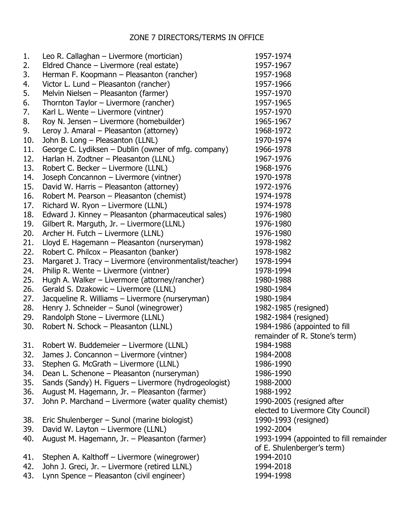## ZONE 7 DIRECTORS/TERMS IN OFFICE

| 1.  | Leo R. Callaghan - Livermore (mortician)                 | 1957-1974                              |
|-----|----------------------------------------------------------|----------------------------------------|
| 2.  | Eldred Chance – Livermore (real estate)                  | 1957-1967                              |
| 3.  | Herman F. Koopmann - Pleasanton (rancher)                | 1957-1968                              |
| 4.  | Victor L. Lund - Pleasanton (rancher)                    | 1957-1966                              |
| 5.  | Melvin Nielsen - Pleasanton (farmer)                     | 1957-1970                              |
| 6.  | Thornton Taylor - Livermore (rancher)                    | 1957-1965                              |
| 7.  | Karl L. Wente - Livermore (vintner)                      | 1957-1970                              |
| 8.  | Roy N. Jensen – Livermore (homebuilder)                  | 1965-1967                              |
| 9.  | Leroy J. Amaral - Pleasanton (attorney)                  | 1968-1972                              |
| 10. | John B. Long - Pleasanton (LLNL)                         | 1970-1974                              |
| 11. | George C. Lydiksen – Dublin (owner of mfg. company)      | 1966-1978                              |
| 12. | Harlan H. Zodtner - Pleasanton (LLNL)                    | 1967-1976                              |
| 13. | Robert C. Becker - Livermore (LLNL)                      | 1968-1976                              |
| 14. | Joseph Concannon - Livermore (vintner)                   | 1970-1978                              |
| 15. | David W. Harris - Pleasanton (attorney)                  | 1972-1976                              |
| 16. | Robert M. Pearson - Pleasanton (chemist)                 | 1974-1978                              |
| 17. | Richard W. Ryon - Livermore (LLNL)                       | 1974-1978                              |
| 18. | Edward J. Kinney - Pleasanton (pharmaceutical sales)     | 1976-1980                              |
| 19. | Gilbert R. Marguth, Jr. - Livermore (LLNL)               | 1976-1980                              |
| 20. | Archer H. Futch - Livermore (LLNL)                       | 1976-1980                              |
| 21. | Lloyd E. Hagemann - Pleasanton (nurseryman)              | 1978-1982                              |
| 22. | Robert C. Philcox - Pleasanton (banker)                  | 1978-1982                              |
| 23. | Margaret J. Tracy - Livermore (environmentalist/teacher) | 1978-1994                              |
| 24. | Philip R. Wente – Livermore (vintner)                    | 1978-1994                              |
| 25. | Hugh A. Walker – Livermore (attorney/rancher)            | 1980-1988                              |
| 26. | Gerald S. Dzakowic - Livermore (LLNL)                    | 1980-1984                              |
| 27. | Jacqueline R. Williams - Livermore (nurseryman)          | 1980-1984                              |
| 28. | Henry J. Schneider - Sunol (winegrower)                  | 1982-1985 (resigned)                   |
| 29. | Randolph Stone - Livermore (LLNL)                        | 1982-1984 (resigned)                   |
| 30. | Robert N. Schock - Pleasanton (LLNL)                     | 1984-1986 (appointed to fill           |
|     |                                                          | remainder of R. Stone's term)          |
| 31. | Robert W. Buddemeier - Livermore (LLNL)                  | 1984-1988                              |
| 32. | James J. Concannon - Livermore (vintner)                 | 1984-2008                              |
| 33. | Stephen G. McGrath - Livermore (LLNL)                    | 1986-1990                              |
| 34. | Dean L. Schenone - Pleasanton (nurseryman)               | 1986-1990                              |
| 35. | Sands (Sandy) H. Figuers - Livermore (hydrogeologist)    | 1988-2000                              |
| 36. | August M. Hagemann, Jr. - Pleasanton (farmer)            | 1988-1992                              |
| 37. | John P. Marchand - Livermore (water quality chemist)     | 1990-2005 (resigned after              |
|     |                                                          | elected to Livermore City Council)     |
| 38. | Eric Shulenberger - Sunol (marine biologist)             | 1990-1993 (resigned)                   |
| 39. | David W. Layton - Livermore (LLNL)                       | 1992-2004                              |
| 40. | August M. Hagemann, Jr. - Pleasanton (farmer)            | 1993-1994 (appointed to fill remainder |
|     |                                                          | of E. Shulenberger's term)             |
| 41. | Stephen A. Kalthoff - Livermore (winegrower)             | 1994-2010                              |
| 42. | John J. Greci, Jr. - Livermore (retired LLNL)            | 1994-2018                              |
| 43. | Lynn Spence - Pleasanton (civil engineer)                | 1994-1998                              |
|     |                                                          |                                        |